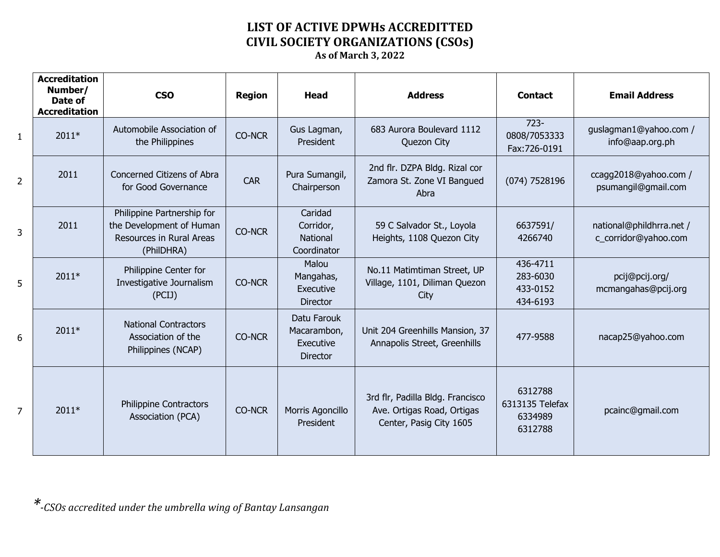## **LIST OF ACTIVE DPWHs ACCREDITTED CIVIL SOCIETY ORGANIZATIONS (CSOs) As of March 3, 2022**

|                | <b>Accreditation</b><br>Number/<br>Date of<br><b>Accreditation</b> | <b>CSO</b>                                                                                       | <b>Region</b> | Head                                                       | <b>Address</b>                                                                            | <b>Contact</b>                                   | <b>Email Address</b>                             |
|----------------|--------------------------------------------------------------------|--------------------------------------------------------------------------------------------------|---------------|------------------------------------------------------------|-------------------------------------------------------------------------------------------|--------------------------------------------------|--------------------------------------------------|
| $\mathbf{1}$   | $2011*$                                                            | Automobile Association of<br>the Philippines                                                     | <b>CO-NCR</b> | Gus Lagman,<br>President                                   | 683 Aurora Boulevard 1112<br>Quezon City                                                  | $723 -$<br>0808/7053333<br>Fax:726-0191          | guslagman1@yahoo.com /<br>info@aap.org.ph        |
| $\overline{2}$ | 2011                                                               | Concerned Citizens of Abra<br>for Good Governance                                                | <b>CAR</b>    | Pura Sumangil,<br>Chairperson                              | 2nd flr. DZPA Bldg. Rizal cor<br>Zamora St. Zone VI Bangued<br>Abra                       | (074) 7528196                                    | ccagg2018@yahoo.com /<br>psumangil@gmail.com     |
| 3              | 2011                                                               | Philippine Partnership for<br>the Development of Human<br>Resources in Rural Areas<br>(PhilDHRA) | <b>CO-NCR</b> | Caridad<br>Corridor,<br><b>National</b><br>Coordinator     | 59 C Salvador St., Loyola<br>Heights, 1108 Quezon City                                    | 6637591/<br>4266740                              | national@phildhrra.net /<br>c_corridor@yahoo.com |
| 5              | $2011*$                                                            | Philippine Center for<br>Investigative Journalism<br>(PCIJ)                                      | <b>CO-NCR</b> | Malou<br>Mangahas,<br>Executive<br><b>Director</b>         | No.11 Matimtiman Street, UP<br>Village, 1101, Diliman Quezon<br>City                      | 436-4711<br>283-6030<br>433-0152<br>434-6193     | pcij@pcij.org/<br>mcmangahas@pcij.org            |
| 6              | $2011*$                                                            | <b>National Contractors</b><br>Association of the<br>Philippines (NCAP)                          | <b>CO-NCR</b> | Datu Farouk<br>Macarambon,<br>Executive<br><b>Director</b> | Unit 204 Greenhills Mansion, 37<br>Annapolis Street, Greenhills                           | 477-9588                                         | nacap25@yahoo.com                                |
| $\overline{7}$ | $2011*$                                                            | <b>Philippine Contractors</b><br>Association (PCA)                                               | <b>CO-NCR</b> | Morris Agoncillo<br>President                              | 3rd flr, Padilla Bldg. Francisco<br>Ave. Ortigas Road, Ortigas<br>Center, Pasig City 1605 | 6312788<br>6313135 Telefax<br>6334989<br>6312788 | pcainc@gmail.com                                 |

*\*-CSOs accredited under the umbrella wing of Bantay Lansangan*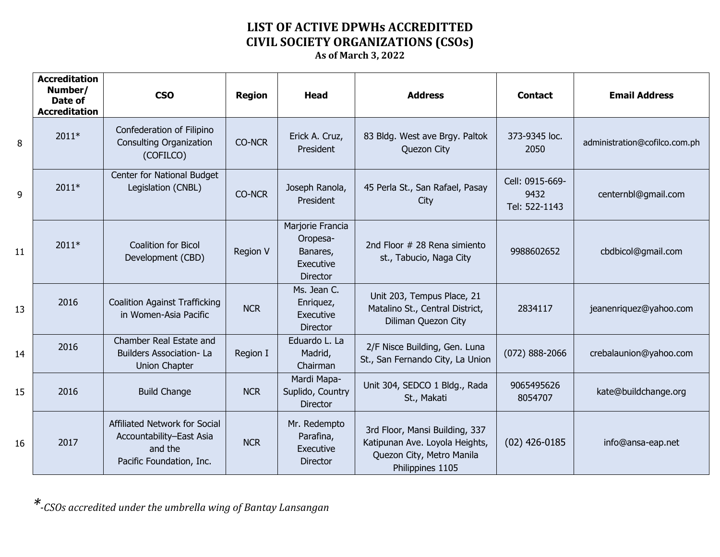## **LIST OF ACTIVE DPWHs ACCREDITTED CIVIL SOCIETY ORGANIZATIONS (CSOs)**

**As of March 3, 2022**

|    | <b>Accreditation</b><br>Number/<br>Date of<br><b>Accreditation</b> | <b>CSO</b>                                                                                       | <b>Region</b> | <b>Head</b>                                                              | <b>Address</b>                                                                                                    | <b>Contact</b>                           | <b>Email Address</b>          |
|----|--------------------------------------------------------------------|--------------------------------------------------------------------------------------------------|---------------|--------------------------------------------------------------------------|-------------------------------------------------------------------------------------------------------------------|------------------------------------------|-------------------------------|
| 8  | 2011*                                                              | Confederation of Filipino<br><b>Consulting Organization</b><br>(COFILCO)                         | <b>CO-NCR</b> | Erick A. Cruz,<br>President                                              | 83 Bldg. West ave Brgy. Paltok<br>Quezon City                                                                     | 373-9345 loc.<br>2050                    | administration@cofilco.com.ph |
| 9  | 2011*                                                              | Center for National Budget<br>Legislation (CNBL)                                                 | <b>CO-NCR</b> | Joseph Ranola,<br>President                                              | 45 Perla St., San Rafael, Pasay<br>City                                                                           | Cell: 0915-669-<br>9432<br>Tel: 522-1143 | centernbl@gmail.com           |
| 11 | 2011*                                                              | <b>Coalition for Bicol</b><br>Development (CBD)                                                  | Region V      | Marjorie Francia<br>Oropesa-<br>Banares,<br>Executive<br><b>Director</b> | 2nd Floor # 28 Rena simiento<br>st., Tabucio, Naga City                                                           | 9988602652                               | cbdbicol@gmail.com            |
| 13 | 2016                                                               | <b>Coalition Against Trafficking</b><br>in Women-Asia Pacific                                    | <b>NCR</b>    | Ms. Jean C.<br>Enriquez,<br>Executive<br><b>Director</b>                 | Unit 203, Tempus Place, 21<br>Matalino St., Central District,<br>Diliman Quezon City                              | 2834117                                  | jeanenriquez@yahoo.com        |
| 14 | 2016                                                               | Chamber Real Estate and<br><b>Builders Association-La</b><br><b>Union Chapter</b>                | Region I      | Eduardo L. La<br>Madrid,<br>Chairman                                     | 2/F Nisce Building, Gen. Luna<br>St., San Fernando City, La Union                                                 | $(072)$ 888-2066                         | crebalaunion@yahoo.com        |
| 15 | 2016                                                               | <b>Build Change</b>                                                                              | <b>NCR</b>    | Mardi Mapa-<br>Suplido, Country<br><b>Director</b>                       | Unit 304, SEDCO 1 Bldg., Rada<br>St., Makati                                                                      | 9065495626<br>8054707                    | kate@buildchange.org          |
| 16 | 2017                                                               | Affiliated Network for Social<br>Accountability-East Asia<br>and the<br>Pacific Foundation, Inc. | <b>NCR</b>    | Mr. Redempto<br>Parafina,<br>Executive<br><b>Director</b>                | 3rd Floor, Mansi Building, 337<br>Katipunan Ave. Loyola Heights,<br>Quezon City, Metro Manila<br>Philippines 1105 | $(02)$ 426-0185                          | info@ansa-eap.net             |

*\*-CSOs accredited under the umbrella wing of Bantay Lansangan*